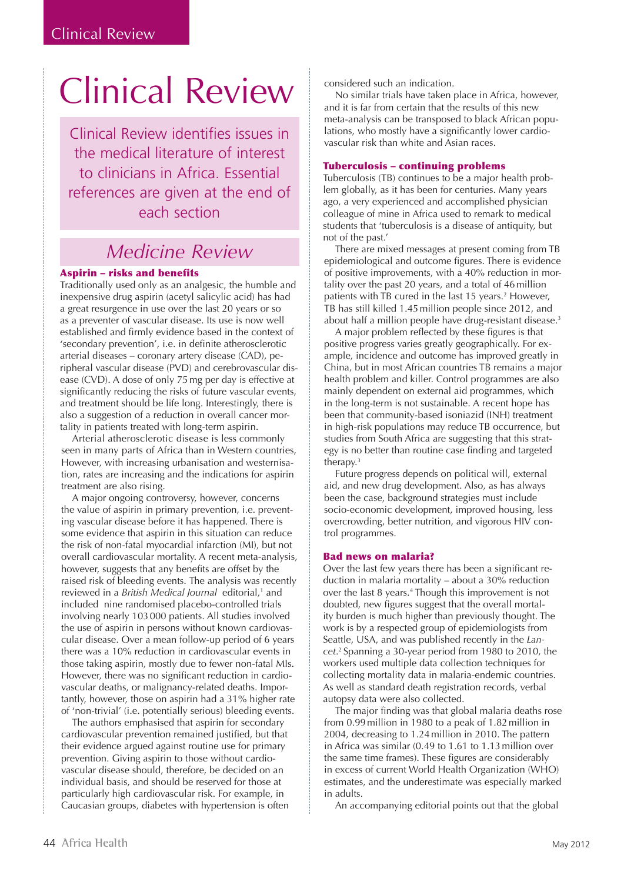# Clinical Review

Clinical Review identifies issues in the medical literature of interest to clinicians in Africa. Essential references are given at the end of each section

# *Medicine Review*

## Aspirin – risks and benefits

Traditionally used only as an analgesic, the humble and inexpensive drug aspirin (acetyl salicylic acid) has had a great resurgence in use over the last 20 years or so as a preventer of vascular disease. Its use is now well established and firmly evidence based in the context of 'secondary prevention', i.e. in definite atherosclerotic arterial diseases – coronary artery disease (CAD), peripheral vascular disease (PVD) and cerebrovascular disease (CVD). A dose of only 75mg per day is effective at significantly reducing the risks of future vascular events, and treatment should be life long. Interestingly, there is also a suggestion of a reduction in overall cancer mortality in patients treated with long-term aspirin.

Arterial atherosclerotic disease is less commonly seen in many parts of Africa than in Western countries, However, with increasing urbanisation and westernisation, rates are increasing and the indications for aspirin treatment are also rising.

A major ongoing controversy, however, concerns the value of aspirin in primary prevention, i.e. preventing vascular disease before it has happened. There is some evidence that aspirin in this situation can reduce the risk of non-fatal myocardial infarction (MI), but not overall cardiovascular mortality. A recent meta-analysis, however, suggests that any benefits are offset by the raised risk of bleeding events. The analysis was recently reviewed in a *British Medical Journal* editorial,<sup>1</sup> and included nine randomised placebo-controlled trials involving nearly 103000 patients. All studies involved the use of aspirin in persons without known cardiovascular disease. Over a mean follow-up period of 6 years there was a 10% reduction in cardiovascular events in those taking aspirin, mostly due to fewer non-fatal MIs. However, there was no significant reduction in cardiovascular deaths, or malignancy-related deaths. Importantly, however, those on aspirin had a 31% higher rate of 'non-trivial' (i.e. potentially serious) bleeding events.

The authors emphasised that aspirin for secondary cardiovascular prevention remained justified, but that their evidence argued against routine use for primary prevention. Giving aspirin to those without cardiovascular disease should, therefore, be decided on an individual basis, and should be reserved for those at particularly high cardiovascular risk. For example, in Caucasian groups, diabetes with hypertension is often considered such an indication.

No similar trials have taken place in Africa, however, and it is far from certain that the results of this new meta-analysis can be transposed to black African populations, who mostly have a significantly lower cardiovascular risk than white and Asian races.

### Tuberculosis – continuing problems

Tuberculosis (TB) continues to be a major health problem globally, as it has been for centuries. Many years ago, a very experienced and accomplished physician colleague of mine in Africa used to remark to medical students that 'tuberculosis is a disease of antiquity, but not of the past.'

There are mixed messages at present coming from TB epidemiological and outcome figures. There is evidence of positive improvements, with a 40% reduction in mortality over the past 20 years, and a total of 46million patients with TB cured in the last 15 years.<sup>2</sup> However, TB has still killed 1.45million people since 2012, and about half a million people have drug-resistant disease.<sup>3</sup>

A major problem reflected by these figures is that positive progress varies greatly geographically. For example, incidence and outcome has improved greatly in China, but in most African countries TB remains a major health problem and killer. Control programmes are also mainly dependent on external aid programmes, which in the long-term is not sustainable. A recent hope has been that community-based isoniazid (INH) treatment in high-risk populations may reduce TB occurrence, but studies from South Africa are suggesting that this strategy is no better than routine case finding and targeted therapy.3

Future progress depends on political will, external aid, and new drug development. Also, as has always been the case, background strategies must include socio-economic development, improved housing, less overcrowding, better nutrition, and vigorous HIV control programmes.

### Bad news on malaria?

Over the last few years there has been a significant reduction in malaria mortality – about a 30% reduction over the last 8 years.4 Though this improvement is not doubted, new figures suggest that the overall mortality burden is much higher than previously thought. The work is by a respected group of epidemiologists from Seattle, USA, and was published recently in the *Lancet*. 2 Spanning a 30-year period from 1980 to 2010, the workers used multiple data collection techniques for collecting mortality data in malaria-endemic countries. As well as standard death registration records, verbal autopsy data were also collected.

The major finding was that global malaria deaths rose from 0.99million in 1980 to a peak of 1.82million in 2004, decreasing to 1.24million in 2010. The pattern in Africa was similar (0.49 to 1.61 to 1.13million over the same time frames). These figures are considerably in excess of current World Health Organization (WHO) estimates, and the underestimate was especially marked in adults.

An accompanying editorial points out that the global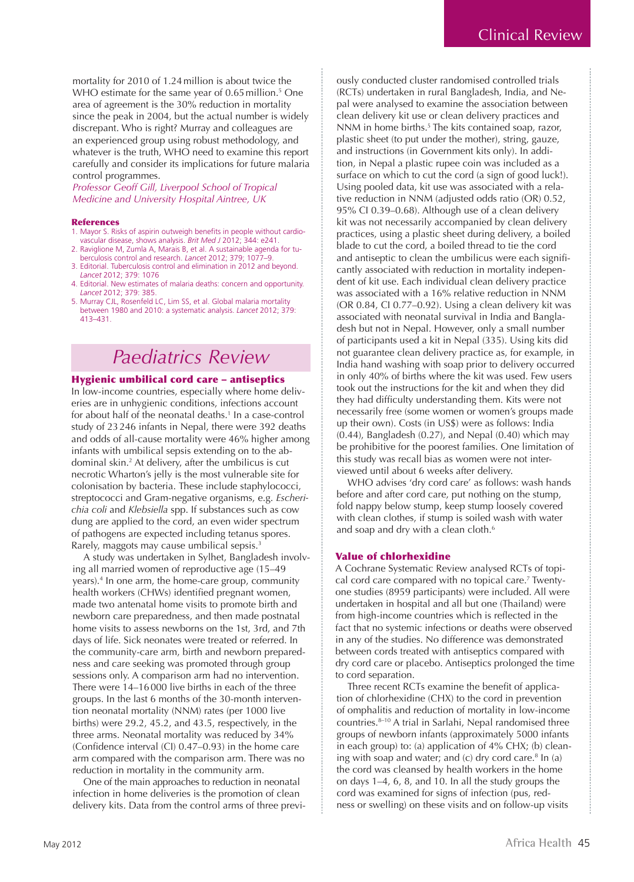mortality for 2010 of 1.24million is about twice the WHO estimate for the same year of 0.65 million.<sup>5</sup> One area of agreement is the 30% reduction in mortality since the peak in 2004, but the actual number is widely discrepant. Who is right? Murray and colleagues are an experienced group using robust methodology, and whatever is the truth, WHO need to examine this report carefully and consider its implications for future malaria control programmes.

*Professor Geoff Gill, Liverpool School of Tropical Medicine and University Hospital Aintree, UK*

#### **References**

- 1. Mayor S. Risks of aspirin outweigh benefits in people without cardiovascular disease, shows analysis. *Brit Med J* 2012; 344: e241.
- 2. Raviglione M, Zumla A, Marais B, et al. A sustainable agenda for tuberculosis control and research. *Lancet* 2012; 379; 1077–9.
- 3. Editorial. Tuberculosis control and elimination in 2012 and beyond. *Lancet* 2012; 379: 1076
- 4. Editorial. New estimates of malaria deaths: concern and opportunity. *Lancet* 2012; 379: 385.
- 5. Murray CJL, Rosenfeld LC, Lim SS, et al. Global malaria mortality between 1980 and 2010: a systematic analysis. *Lancet* 2012; 379: 413–431.

# *Paediatrics Review*

### Hygienic umbilical cord care – antiseptics

In low-income countries, especially where home deliveries are in unhygienic conditions, infections account for about half of the neonatal deaths.1 In a case-control study of 23246 infants in Nepal, there were 392 deaths and odds of all-cause mortality were 46% higher among infants with umbilical sepsis extending on to the abdominal skin.2 At delivery, after the umbilicus is cut necrotic Wharton's jelly is the most vulnerable site for colonisation by bacteria. These include staphylococci, streptococci and Gram-negative organisms, e.g. *Escherichia coli* and *Klebsiella* spp. If substances such as cow dung are applied to the cord, an even wider spectrum of pathogens are expected including tetanus spores. Rarely, maggots may cause umbilical sepsis.<sup>3</sup>

A study was undertaken in Sylhet, Bangladesh involving all married women of reproductive age (15–49 years).4 In one arm, the home-care group, community health workers (CHWs) identified pregnant women, made two antenatal home visits to promote birth and newborn care preparedness, and then made postnatal home visits to assess newborns on the 1st, 3rd, and 7th days of life. Sick neonates were treated or referred. In the community-care arm, birth and newborn preparedness and care seeking was promoted through group sessions only. A comparison arm had no intervention. There were 14–16000 live births in each of the three groups. In the last 6 months of the 30-month intervention neonatal mortality (NNM) rates (per 1000 live births) were 29.2, 45.2, and 43.5, respectively, in the three arms. Neonatal mortality was reduced by 34% (Confidence interval (CI) 0.47–0.93) in the home care arm compared with the comparison arm. There was no reduction in mortality in the community arm.

One of the main approaches to reduction in neonatal infection in home deliveries is the promotion of clean delivery kits. Data from the control arms of three previously conducted cluster randomised controlled trials (RCTs) undertaken in rural Bangladesh, India, and Nepal were analysed to examine the association between clean delivery kit use or clean delivery practices and NNM in home births.<sup>5</sup> The kits contained soap, razor, plastic sheet (to put under the mother), string, gauze, and instructions (in Government kits only). In addition, in Nepal a plastic rupee coin was included as a surface on which to cut the cord (a sign of good luck!). Using pooled data, kit use was associated with a relative reduction in NNM (adjusted odds ratio (OR) 0.52, 95% CI 0.39–0.68). Although use of a clean delivery kit was not necessarily accompanied by clean delivery practices, using a plastic sheet during delivery, a boiled blade to cut the cord, a boiled thread to tie the cord and antiseptic to clean the umbilicus were each significantly associated with reduction in mortality independent of kit use. Each individual clean delivery practice was associated with a 16% relative reduction in NNM (OR 0.84, CI 0.77–0.92). Using a clean delivery kit was associated with neonatal survival in India and Bangladesh but not in Nepal. However, only a small number of participants used a kit in Nepal (335). Using kits did not guarantee clean delivery practice as, for example, in India hand washing with soap prior to delivery occurred in only 40% of births where the kit was used. Few users took out the instructions for the kit and when they did they had difficulty understanding them. Kits were not necessarily free (some women or women's groups made up their own). Costs (in US\$) were as follows: India (0.44), Bangladesh (0.27), and Nepal (0.40) which may be prohibitive for the poorest families. One limitation of this study was recall bias as women were not interviewed until about 6 weeks after delivery.

WHO advises 'dry cord care' as follows: wash hands before and after cord care, put nothing on the stump, fold nappy below stump, keep stump loosely covered with clean clothes, if stump is soiled wash with water and soap and dry with a clean cloth.<sup>6</sup>

#### Value of chlorhexidine

A Cochrane Systematic Review analysed RCTs of topical cord care compared with no topical care.<sup>7</sup> Twentyone studies (8959 participants) were included. All were undertaken in hospital and all but one (Thailand) were from high-income countries which is reflected in the fact that no systemic infections or deaths were observed in any of the studies. No difference was demonstrated between cords treated with antiseptics compared with dry cord care or placebo. Antiseptics prolonged the time to cord separation.

Three recent RCTs examine the benefit of application of chlorhexidine (CHX) to the cord in prevention of omphalitis and reduction of mortality in low-income countries.8–10 A trial in Sarlahi, Nepal randomised three groups of newborn infants (approximately 5000 infants in each group) to: (a) application of 4% CHX; (b) cleaning with soap and water; and  $(c)$  dry cord care.<sup>8</sup> In  $(a)$ the cord was cleansed by health workers in the home on days 1–4, 6, 8, and 10. In all the study groups the cord was examined for signs of infection (pus, redness or swelling) on these visits and on follow-up visits